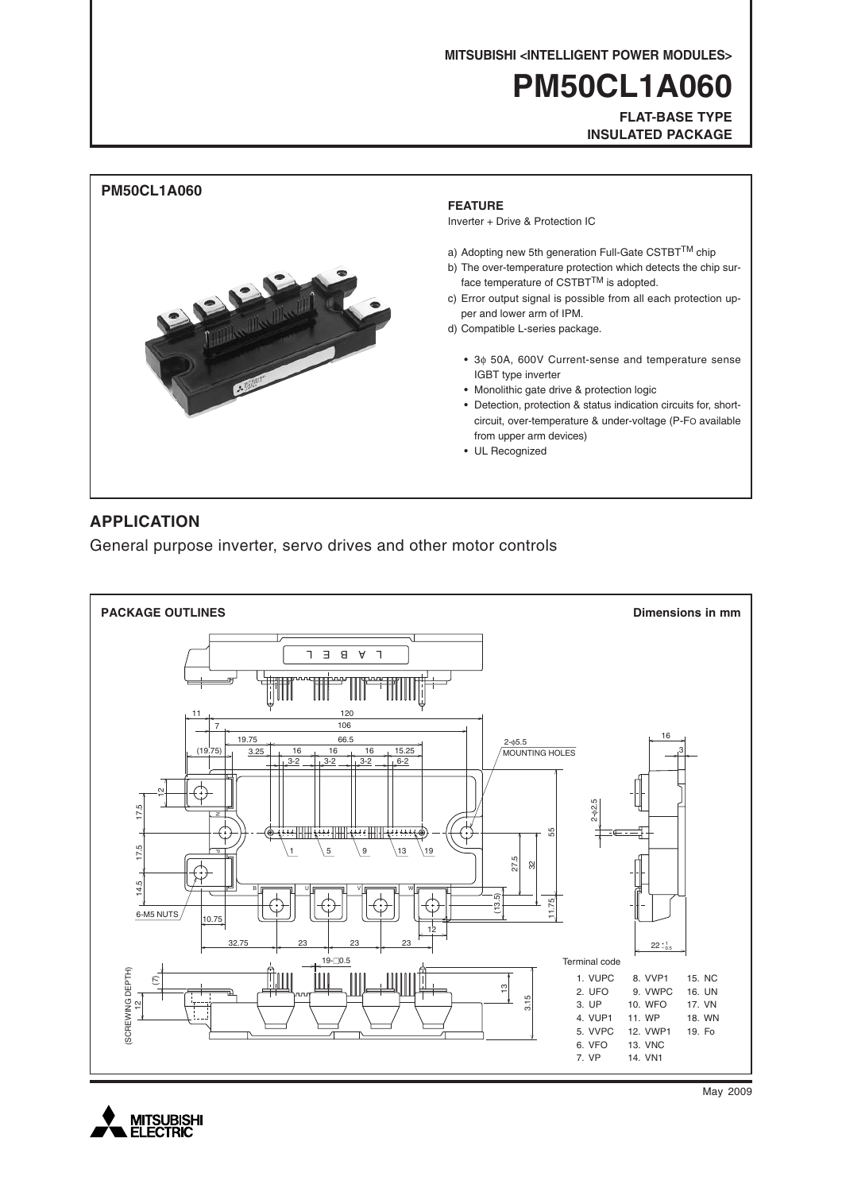**MITSUBISHI <INTELLIGENT POWER MODULES>**

# **PM50CL1A060**

**FLAT-BASE TYPE INSULATED PACKAGE**



### **APPLICATION**

General purpose inverter, servo drives and other motor controls





May 2009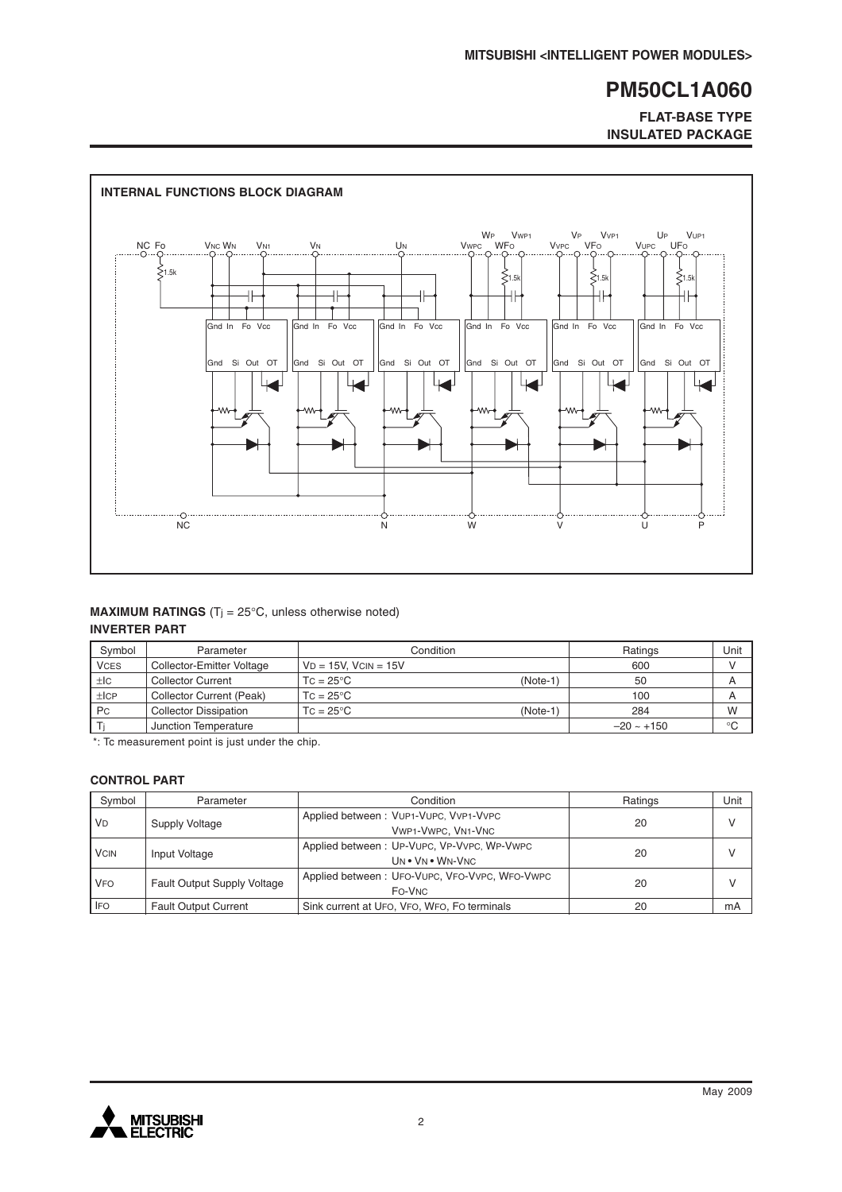**FLAT-BASE TYPE INSULATED PACKAGE**



#### **MAXIMUM RATINGS** (T<sub>j</sub> =  $25^{\circ}$ C, unless otherwise noted) **INVERTER PART**

| Symbol      | Parameter                    | Condition                      | Ratings         | Unit |
|-------------|------------------------------|--------------------------------|-----------------|------|
| <b>VCES</b> | Collector-Emitter Voltage    | $VD = 15V$ . $VCIN = 15V$      | 600             |      |
| $\pm$ IC    | <b>Collector Current</b>     | (Note-1)<br>$TC = 25^{\circ}C$ | 50              | A    |
| ±ICP        | Collector Current (Peak)     | $TC = 25^{\circ}C$             | 100             | A    |
| <b>Pc</b>   | <b>Collector Dissipation</b> | $TC = 25^{\circ}C$<br>(Note-1) | 284             | W    |
|             | Junction Temperature         |                                | $-20 \sim +150$ | °C   |

\*: Tc measurement point is just under the chip.

#### **CONTROL PART**

| Symbol      | Parameter                          | Condition                                                      | Ratings | Unit          |
|-------------|------------------------------------|----------------------------------------------------------------|---------|---------------|
| <b>VD</b>   | Supply Voltage                     | Applied between: VUP1-VUPC, VVP1-VVPC<br>VWP1-VWPC, VN1-VNC    | 20      | $\mathcal{U}$ |
| <b>VCIN</b> | Input Voltage                      | Applied between: UP-VUPC, VP-VVPC, WP-VWPC<br>UN . VN . WN-VNC | 20      | $\mathsf{V}$  |
| <b>VFO</b>  | <b>Fault Output Supply Voltage</b> | Applied between: UFO-VUPC, VFO-VVPC, WFO-VWPC<br>FO-VNC        | 20      |               |
| <b>IFO</b>  | <b>Fault Output Current</b>        | Sink current at UFO, VFO, WFO, FO terminals                    | 20      | mA            |

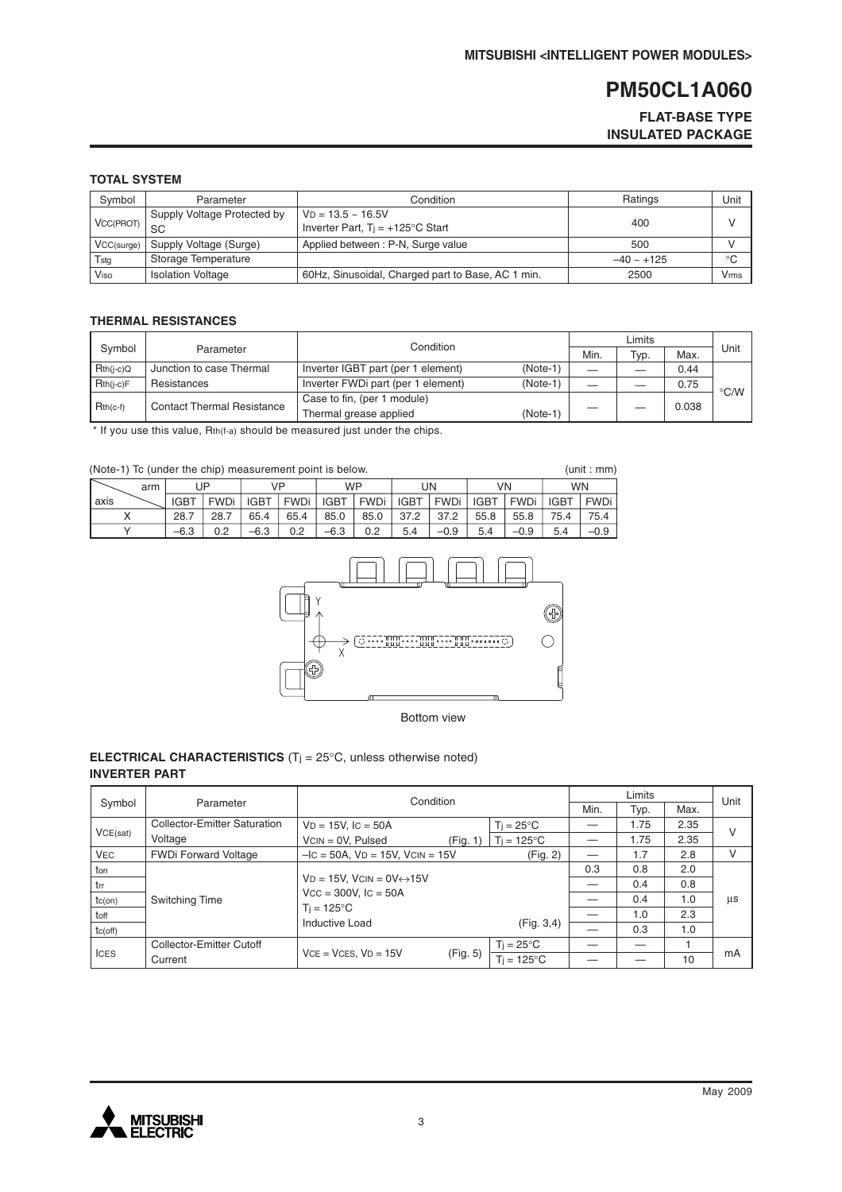#### **FLAT-BASE TYPE INSULATED PACKAGE**

#### **TOTAL SYSTEM**

| Symbol     | Parameter                         | Condition                                                        | Ratings         | Unit |
|------------|-----------------------------------|------------------------------------------------------------------|-----------------|------|
| VCC(PROT)  | Supply Voltage Protected by<br>SC | $VD = 13.5 - 16.5V$<br>Inverter Part, $Ti = +125^{\circ}C$ Start | 400             |      |
| VCC(surge) | Supply Voltage (Surge)            | Applied between: P-N, Surge value                                | 500             |      |
| Tstg       | Storage Temperature               |                                                                  | $-40 \sim +125$ | °C   |
| Viso       | <b>Isolation Voltage</b>          | 60Hz, Sinusoidal, Charged part to Base, AC 1 min.                | 2500            | Vrms |

#### **THERMAL RESISTANCES**

|                     |                                   | Condition                                        |  |      |      |       |               |
|---------------------|-----------------------------------|--------------------------------------------------|--|------|------|-------|---------------|
| Symbol<br>Parameter |                                   |                                                  |  | Min. | Typ. | Max.  | Unit          |
| $Rth(i-c)Q$         | Junction to case Thermal          | Inverter IGBT part (per 1 element)<br>$(Note-1)$ |  |      |      | 0.44  |               |
| $Rth(i-c)F$         | Resistances                       | Inverter FWDi part (per 1 element)<br>(Note-1)   |  |      |      | 0.75  | $\degree$ C/W |
| $Rth(c-f)$          | <b>Contact Thermal Resistance</b> | Case to fin, (per 1 module)                      |  |      |      | 0.038 |               |
|                     |                                   | Thermal grease applied<br>$(Note-1)$             |  |      |      |       |               |

\* If you use this value, Rth(f-a) should be measured just under the chips.

| (Note-1) To (under the chip) measurement point is below. |     |             |             |             |             |             |             |             |        | (unit : mm) |             |             |             |
|----------------------------------------------------------|-----|-------------|-------------|-------------|-------------|-------------|-------------|-------------|--------|-------------|-------------|-------------|-------------|
|                                                          | arm |             | UP.         |             | VP          |             | <b>WP</b>   |             | UN     | VN          |             | <b>WN</b>   |             |
| axis                                                     |     | <b>IGBT</b> | <b>FWDi</b> | <b>IGBT</b> | <b>FWDi</b> | <b>IGBT</b> | <b>FWDi</b> | <b>IGBT</b> | FWDi   | <b>IGBT</b> | <b>FWDi</b> | <b>IGBT</b> | <b>FWDi</b> |
|                                                          |     | 28.7        | 28.7        | 65.4        | 65.4        | 85.0        | 85.0        | 37.2        | 37.2   | 55.8        | 55.8        | 75.4        | 75.4        |
|                                                          |     | $-6.3$      | 0.2         | $-6.3$      | 0.2         | $-6.3$      | 0.2         | 5.4         | $-0.9$ | 5.4         | $-0.9$      | 5.4         | $-0.9$      |



#### **ELECTRICAL CHARACTERISTICS** (Tj = 25°C, unless otherwise noted) **INVERTER PART**

|              |                              | Condition                                                           |          |                      |     | Unit |      |    |
|--------------|------------------------------|---------------------------------------------------------------------|----------|----------------------|-----|------|------|----|
| Symbol       | Parameter                    |                                                                     |          |                      |     | Typ. | Max. |    |
|              | Collector-Emitter Saturation | $VD = 15V$ , $IC = 50A$                                             |          | $Ti = 25^{\circ}C$   |     | 1.75 | 2.35 | v  |
| VCE(sat)     | Voltage                      | $VCN = OV, Pulsed$                                                  | (Fig. 1) | $T_i = 125^{\circ}C$ |     | 1.75 | 2.35 |    |
| <b>VEC</b>   | <b>FWDi Forward Voltage</b>  | $-IC = 50A$ , $VD = 15V$ , $VCIN = 15V$                             |          | (Fig. 2)             |     | 1.7  | 2.8  | v  |
| ton          |                              |                                                                     |          |                      | 0.3 | 0.8  | 2.0  |    |
| l trr        |                              | $VD = 15V$ , $VCIN = OV \leftrightarrow 15V$                        |          |                      | 0.4 | 0.8  |      |    |
| $tc($ on $)$ | Switching Time               | $Vcc = 300V$ , $lc = 50A$<br>$T_i = 125^{\circ}C$<br>Inductive Load |          |                      |     | 0.4  | 1.0  | μs |
| toff         |                              |                                                                     |          |                      |     | 1.0  | 2.3  |    |
| tc(off)      |                              |                                                                     |          | (Fig. 3, 4)          |     | 0.3  | 1.0  |    |
|              | Collector-Emitter Cutoff     |                                                                     |          | $T_i = 25^{\circ}C$  |     |      |      |    |
| <b>ICES</b>  | Current                      | $VCE = VCES, VD = 15V$                                              | (Fig. 5) | $Ti = 125^{\circ}C$  |     |      | 10   | mA |

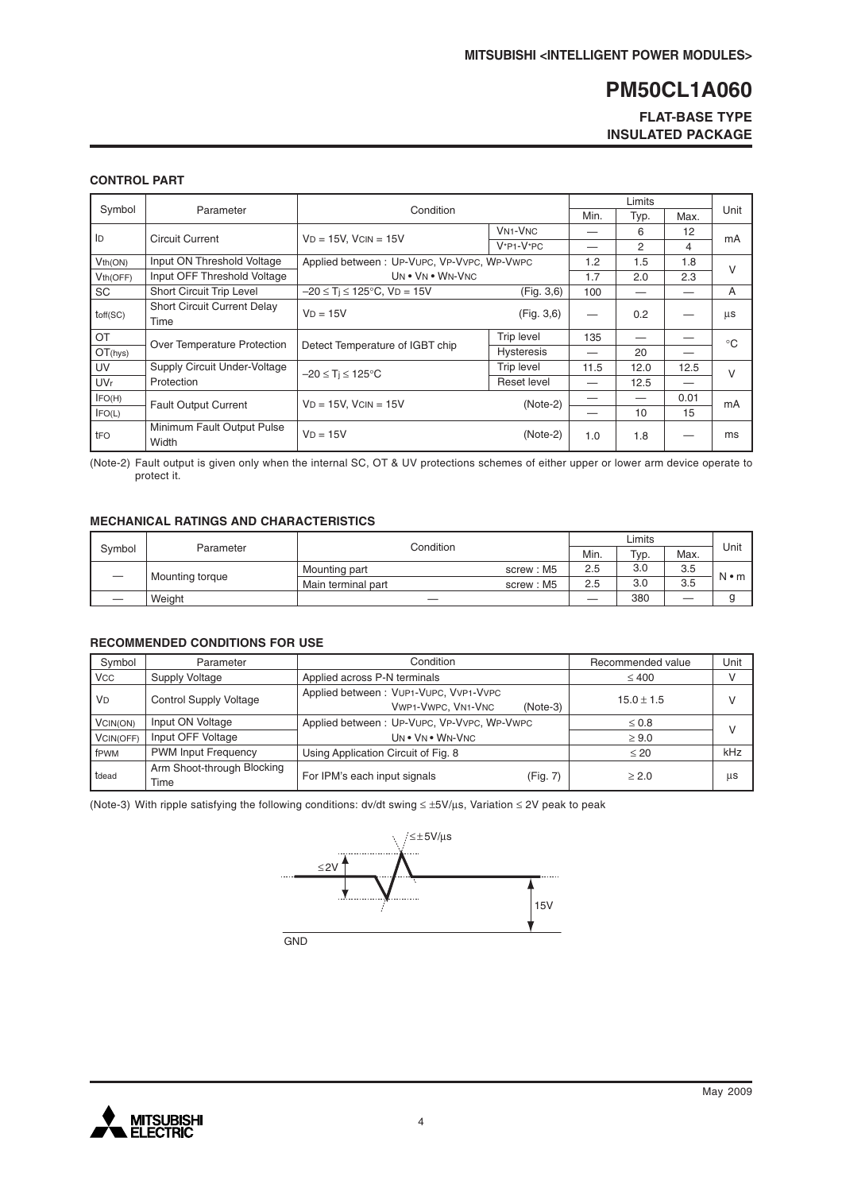#### **FLAT-BASE TYPE INSULATED PACKAGE**

#### **CONTROL PART**

| Symbol                | Parameter                                  | Condition                                  |                                      |      | Typ. | Max. | Unit         |
|-----------------------|--------------------------------------------|--------------------------------------------|--------------------------------------|------|------|------|--------------|
| ID                    | <b>Circuit Current</b>                     | $VD = 15V$ , $VCIN = 15V$                  | <b>VN<sub>1</sub>-V<sub>NC</sub></b> |      | 6    | 12   |              |
|                       |                                            |                                            | $V^*P1-V^*PC$                        |      | 2    | 4    | mA           |
| Vth(ON)               | Input ON Threshold Voltage                 | Applied between: UP-VUPC, VP-VVPC, WP-VWPC |                                      | 1.2  | 1.5  | 1.8  | $\vee$       |
| Vth(OFF)              | Input OFF Threshold Voltage                | UN . VN . WN-VNC                           |                                      | 1.7  | 2.0  | 2.3  |              |
| SC                    | Short Circuit Trip Level                   | $-20 \le T_i \le 125$ °C, VD = 15V         | (Fig. 3,6)                           | 100  |      |      | A            |
| toff(SC)              | <b>Short Circuit Current Delay</b><br>Time | $VD = 15V$                                 | (Fig. 3, 6)                          |      | 0.2  |      | μs           |
| OT                    | Over Temperature Protection                |                                            | Trip level                           | 135  |      |      | $^{\circ}$ C |
| OT(hys)               |                                            | Detect Temperature of IGBT chip            | <b>Hysteresis</b>                    |      | 20   |      |              |
| UV                    | Supply Circuit Under-Voltage               | $-20 \leq T_i \leq 125^{\circ}C$           | <b>Trip level</b>                    | 11.5 | 12.0 | 12.5 | $\vee$       |
| <b>UV<sub>r</sub></b> | Protection                                 |                                            | Reset level                          |      | 12.5 |      |              |
| IFO(H)                | <b>Fault Output Current</b>                | $VD = 15V$ , $VCIN = 15V$                  | $(Note-2)$                           |      |      | 0.01 | mA           |
| IFO(L)                |                                            |                                            |                                      |      | 10   | 15   |              |
| tFO                   | Minimum Fault Output Pulse<br>Width        | $VD = 15V$                                 | $(Note-2)$                           | 1.0  | 1.8  |      | ms           |

(Note-2) Fault output is given only when the internal SC, OT & UV protections schemes of either upper or lower arm device operate to protect it.

#### **MECHANICAL RATINGS AND CHARACTERISTICS**

|        |                        |                    |           | Unit |                 |      |             |
|--------|------------------------|--------------------|-----------|------|-----------------|------|-------------|
| Symbol | Condition<br>Parameter |                    |           | Min. | <sup>Тур.</sup> | Max. |             |
|        | Mounting torque        | Mounting part      | screw: M5 | 2.5  | 3.0             | 3.5  | $N \cdot m$ |
|        |                        | Main terminal part | screw: M5 | 2.5  | 3.0             | 3.5  |             |
|        | Weight                 |                    |           |      | 380             |      |             |

#### **RECOMMENDED CONDITIONS FOR USE**

| Symbol               | Parameter                          | Condition                                                                 | Recommended value | Unit         |
|----------------------|------------------------------------|---------------------------------------------------------------------------|-------------------|--------------|
| <b>VCC</b>           | Supply Voltage                     | Applied across P-N terminals                                              | $\leq 400$        | v            |
| <b>V<sub>D</sub></b> | <b>Control Supply Voltage</b>      | Applied between: VUP1-VUPC, VVP1-VVPC<br>VWP1-VWPC, VN1-VNC<br>$(Note-3)$ | $15.0 \pm 1.5$    | $\mathsf{V}$ |
| VCIN(ON)             | Input ON Voltage                   | Applied between: UP-VUPC, VP-VVPC, WP-VWPC                                | $\leq 0.8$        | $\vee$       |
| VCIN(OFF)            | Input OFF Voltage                  | UN . VN . WN-VNC                                                          | $\geq 9.0$        |              |
| fPWM                 | <b>PWM Input Frequency</b>         | Using Application Circuit of Fig. 8                                       | $\leq 20$         | kHz          |
| tdead                | Arm Shoot-through Blocking<br>Time | For IPM's each input signals<br>(Fig. 7)                                  | > 2.0             | us           |

(Note-3) With ripple satisfying the following conditions: dv/dt swing ≤ ±5V/µs, Variation ≤ 2V peak to peak



GN<sub>D</sub>

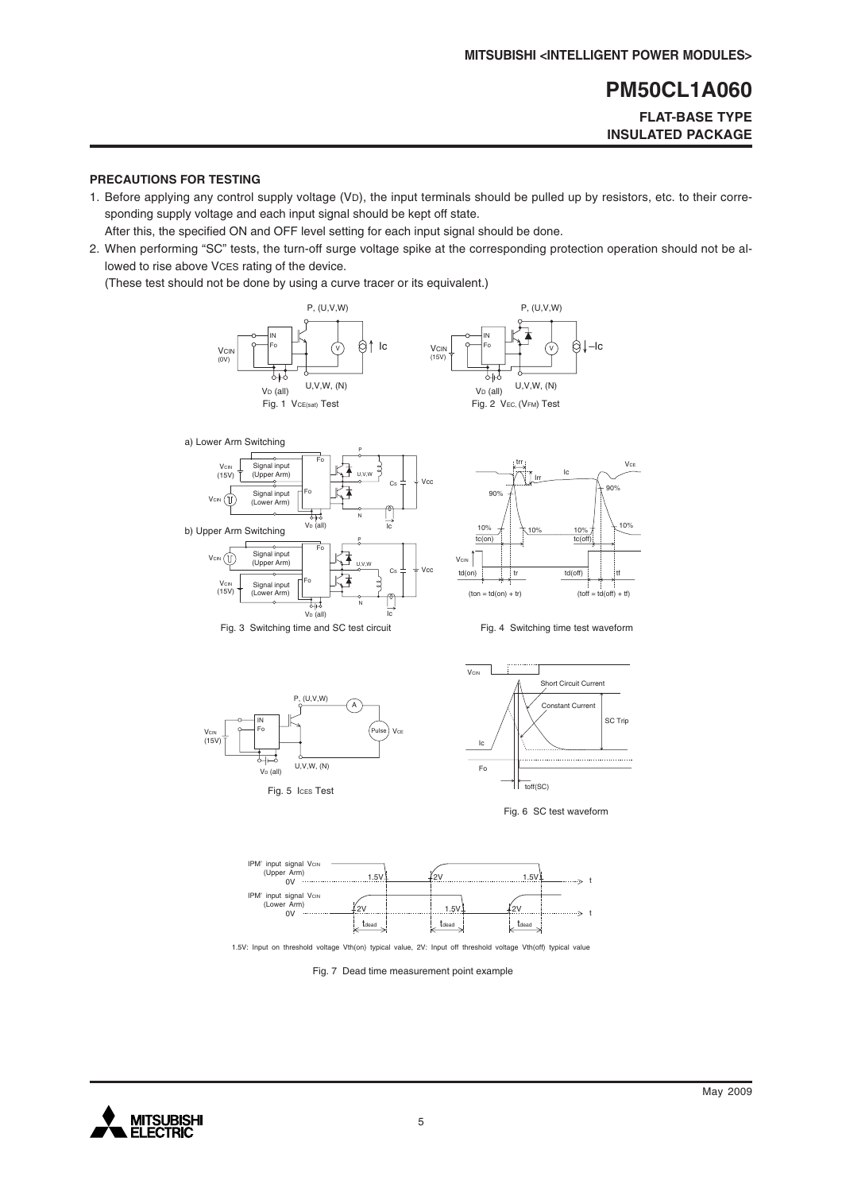#### **FLAT-BASE TYPE INSULATED PACKAGE**

#### **PRECAUTIONS FOR TESTING**

1. Before applying any control supply voltage (VD), the input terminals should be pulled up by resistors, etc. to their corresponding supply voltage and each input signal should be kept off state.

After this, the specified ON and OFF level setting for each input signal should be done.

2. When performing "SC" tests, the turn-off surge voltage spike at the corresponding protection operation should not be allowed to rise above VCES rating of the device.

(These test should not be done by using a curve tracer or its equivalent.)















1.5V: Input on threshold voltage Vth(on) typical value, 2V: Input off threshold voltage Vth(off) typical value

Fig. 7 Dead time measurement point example

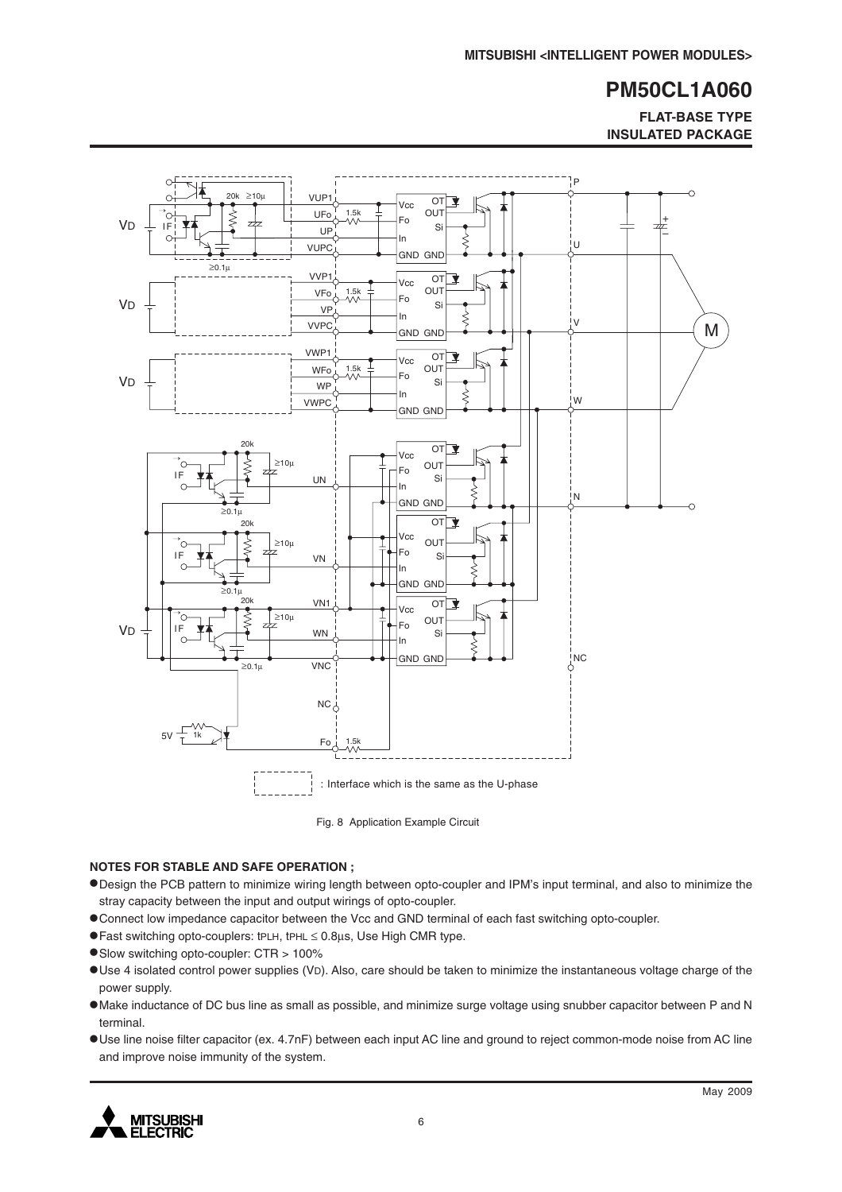**FLAT-BASE TYPE INSULATED PACKAGE**



Fig. 8 Application Example Circuit

#### **NOTES FOR STABLE AND SAFE OPERATION ;**

- •Design the PCB pattern to minimize wiring length between opto-coupler and IPM's input terminal, and also to minimize the stray capacity between the input and output wirings of opto-coupler.
- •Connect low impedance capacitor between the Vcc and GND terminal of each fast switching opto-coupler.
- •Fast switching opto-couplers: tPLH, tPHL <sup>≤</sup> 0.8µs, Use High CMR type.
- •Slow switching opto-coupler: CTR > 100%
- •Use 4 isolated control power supplies (VD). Also, care should be taken to minimize the instantaneous voltage charge of the power supply.
- •Make inductance of DC bus line as small as possible, and minimize surge voltage using snubber capacitor between P and N terminal.
- •Use line noise filter capacitor (ex. 4.7nF) between each input AC line and ground to reject common-mode noise from AC line and improve noise immunity of the system.

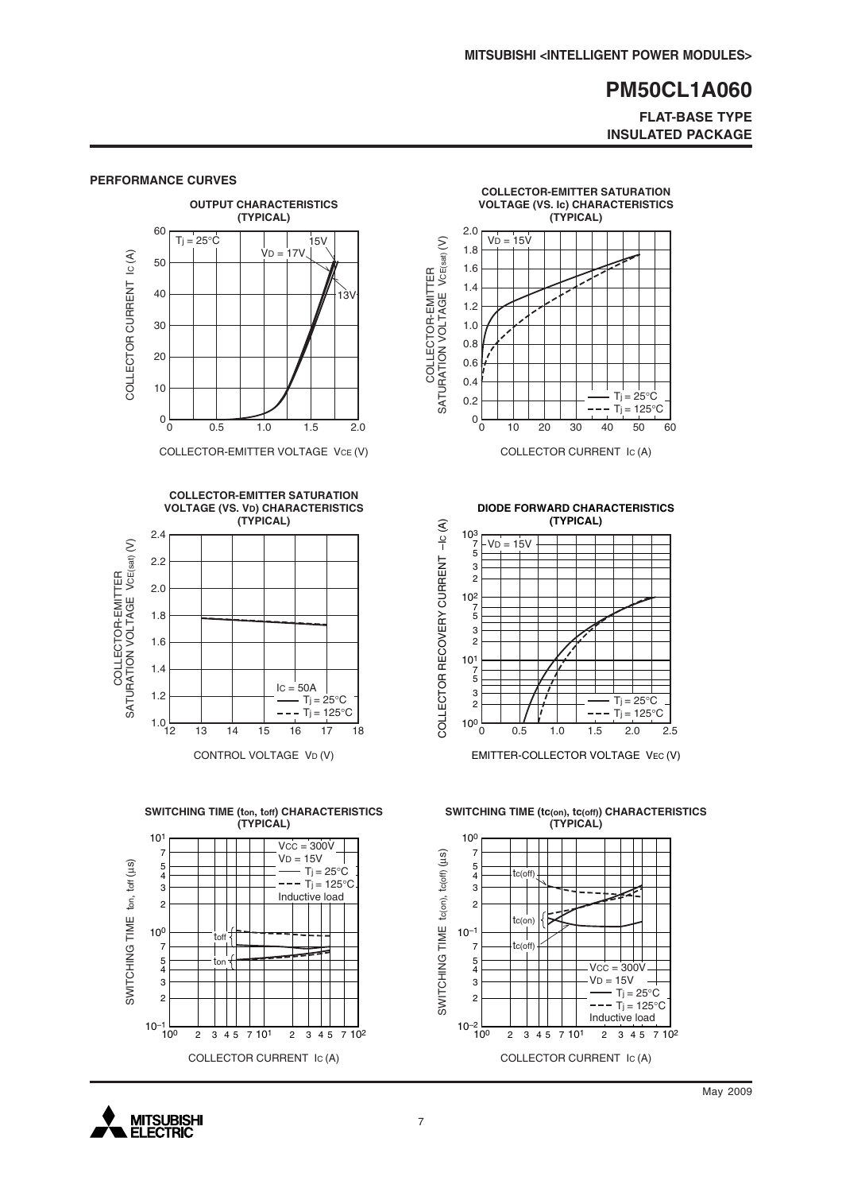**FLAT-BASE TYPE INSULATED PACKAGE**



#### **PERFORMANCE CURVES**

**MITSUBISHI ELECTRIC** 

COLLECTOR CURRENT IC (A)

May 2009

COLLECTOR CURRENT IC (A)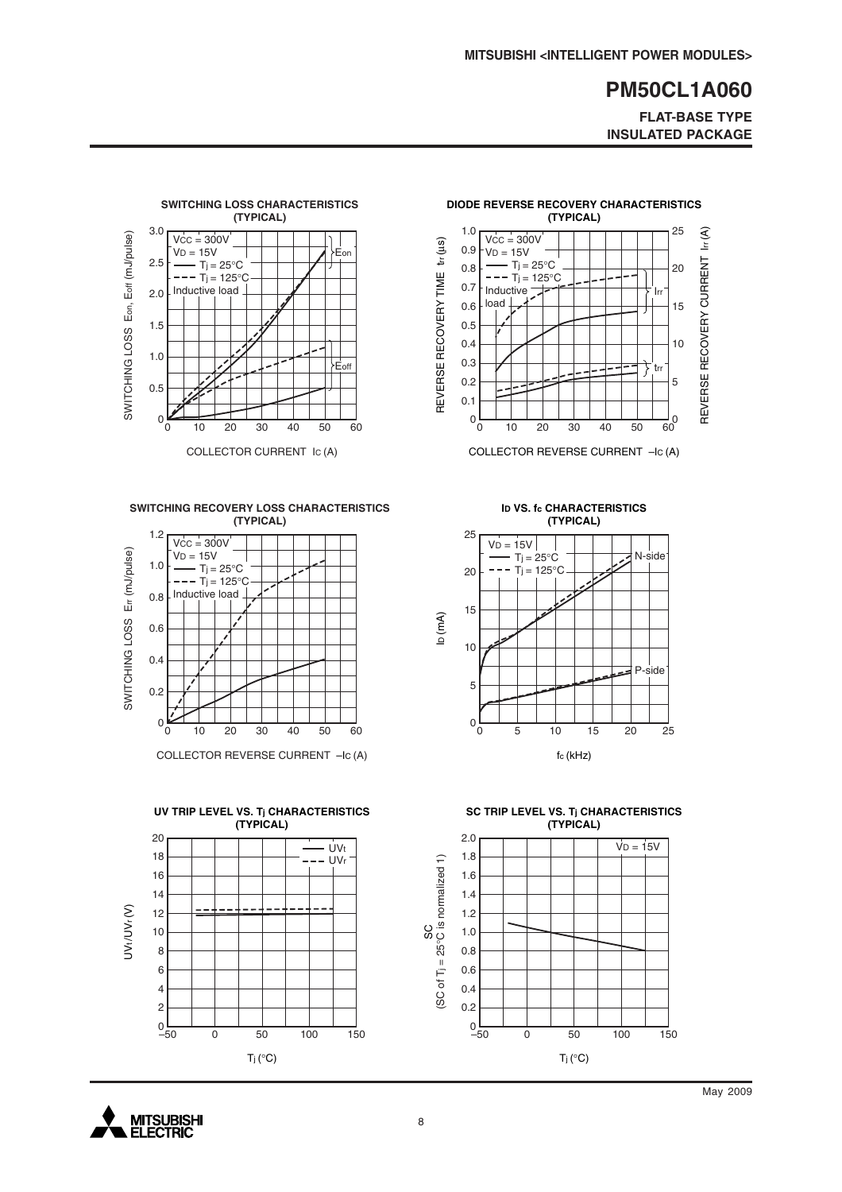**FLAT-BASE TYPE INSULATED PACKAGE**



**SWITCHING RECOVERY LOSS CHARACTERISTICS (TYPICAL)**



COLLECTOR REVERSE CURRENT –IC (A)





COLLECTOR REVERSE CURRENT –IC (A)

**ID VS. fc CHARACTERISTICS (TYPICAL)**



**SC TRIP LEVEL VS. Tj CHARACTERISTICS (TYPICAL)**